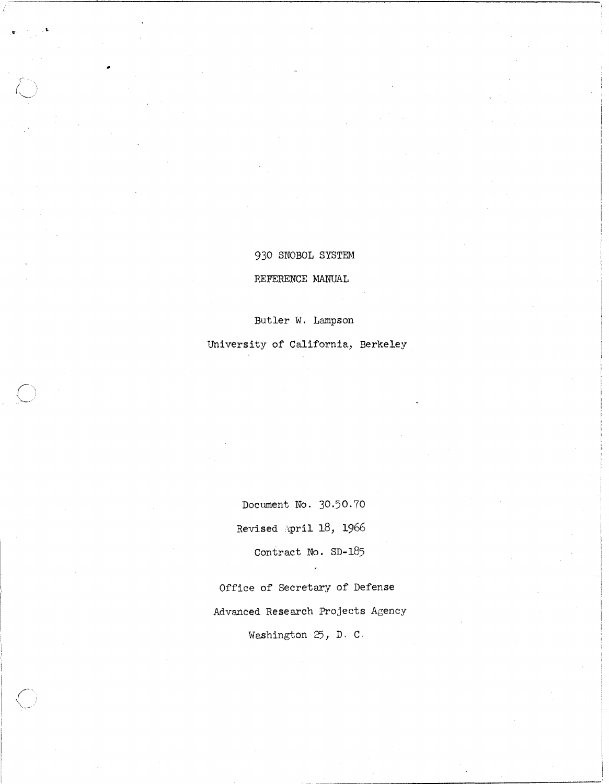# 930 SNOBOL SYSTEM REFERENCE MANUAL

...

Butler W. Lampson

University of California, Berkeley

Document No. 30.50.70 Revised April 18, 1966 Contract No. SD-185

Office of Secretary of Defense Advanced Research Projects Agency Washington 25, D. C.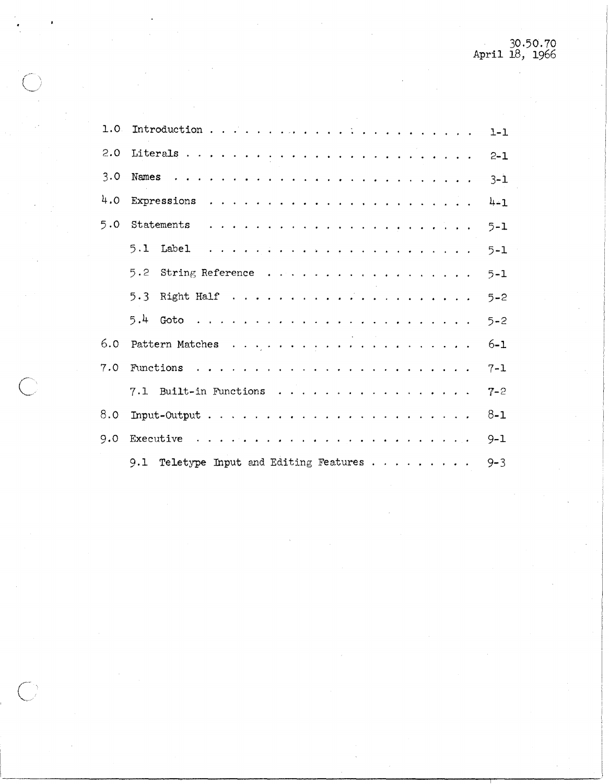|     |                                                                                                                               | $1 - 1$ |
|-----|-------------------------------------------------------------------------------------------------------------------------------|---------|
| 2.0 |                                                                                                                               | $2 - 1$ |
| 3.0 | Names<br>والوالو المراجي والمراجي والمراجي والمراجي والمراجي والمراجي والمراجي والمراجي والمراجي                              | $3 - 1$ |
| 4.0 |                                                                                                                               | $4 - 1$ |
| 5.0 | Statements<br>a constitution of the company of the company of the company of the company of the company of the company of the | $5 - 1$ |
|     | 5.1 Label<br>المتناور والمناور والمناور والمناور والمناور والمناور والمناور والمناور والمناور والمناور                        | $5 - 1$ |
|     | 5.2<br>String Reference                                                                                                       | $5 - 1$ |
|     |                                                                                                                               | $5 - 2$ |
|     |                                                                                                                               | $5 - 2$ |
| 6.0 |                                                                                                                               | $6 - 1$ |
| 7.0 |                                                                                                                               | $7 - 1$ |
|     | 7.1 Built-in Functions                                                                                                        | $7 - 2$ |
| 8.0 | Input-Output $\ldots$ , $\ldots$ , $\ldots$ , $\ldots$ , $\ldots$ , $\ldots$ , $\ldots$ , $\ldots$ , $\ldots$                 | $8 - 1$ |
| 9.0 |                                                                                                                               | $9 - 1$ |
|     | 9.1 Teletype Input and Editing Features $\cdots$                                                                              | $9 - 3$ |
|     |                                                                                                                               |         |

 $\overline{C}$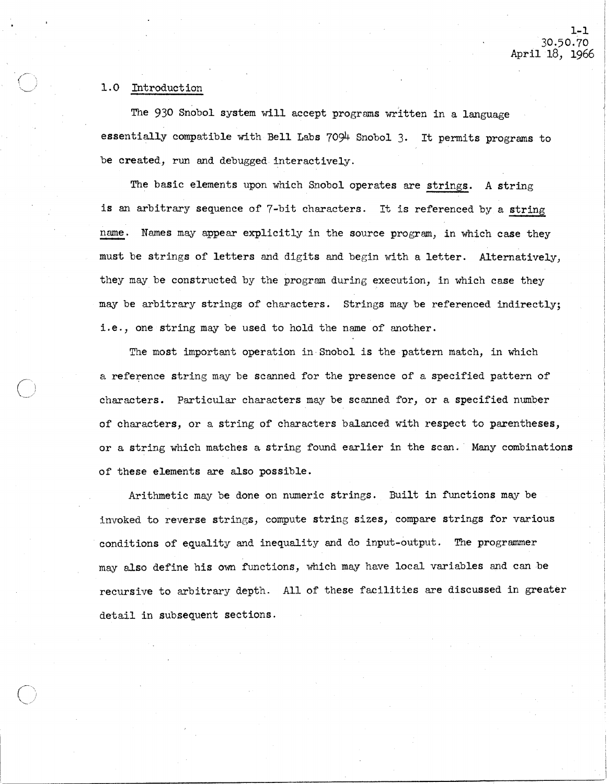#### 1.0 Introduction

The 930 Snobol system will accept programs written in a language essentially compatible with Bell Labs 7094 Snobol 3. It permits programs to be created, run and debugged interactively.

The basic elements upon which Snobol operates are strings. A string is an arbitrary sequence of 7-bit characters. It is referenced by a string name. Names may appear explicitly in the source program, in which case they must be strings of letters and digits and begin with a letter. Alternatively, they may be constructed by the program during execution, in which case they may be arbitrary strings of characters. Strings may be referenced indirectly; i.e., one string may be used to hold the name of another.

The most important operation in Snobol is the pattern match, in which a reference string may be scanned for the presence of a specified pattern of characters. Particular characters may be scanned for, or a specified number of characters, or a string of characters balanced with respect to parentheses, or a string which matches a string found earlier in the scan. Many combinations of these elements are also possible.

Arithmetic may be done on numeric strings. Built in functions may be invoked to reverse strings, compute string sizes, compare strings for various conditions of equality and inequality and do input-output. The programmer may also define his own functions, which may have local variables and can be recursive to arbitrary depth. All of these facilities are discussed in greater detail in subsequent sections.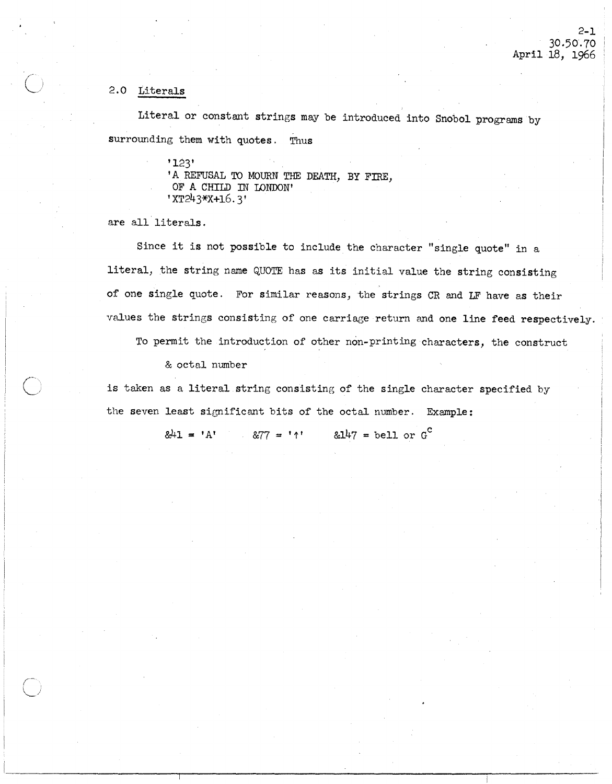2-1 30·50·70 April 18, 1966

### 2.0 Literals

Literal or constant strings may be introduced into Snobol programs by surrounding them with quotes. Thus

> '123' 'A REFUSAL TO MOURN THE DEATH, BY FIRE, OF A CHILD IN LONDON' 'XT243\*X+16.3'

are all literals.

Since it is not possible to include the character "single quote" in a literal, the string name QUOTE has as its initial value the string consisting of one single quote. For similar reasons, the strings CR and LF have as their values the strings consisting of one carriage return and one line feed respectively.

To permit the introduction of other non-printing characters, the construct

& octal number

is taken as a literal string consisting of the single character specified by the seven least significant bits of the octal number. Example:

 $&41 = 'A'$  &77 = '1' &147 = bell or G<sup>C</sup>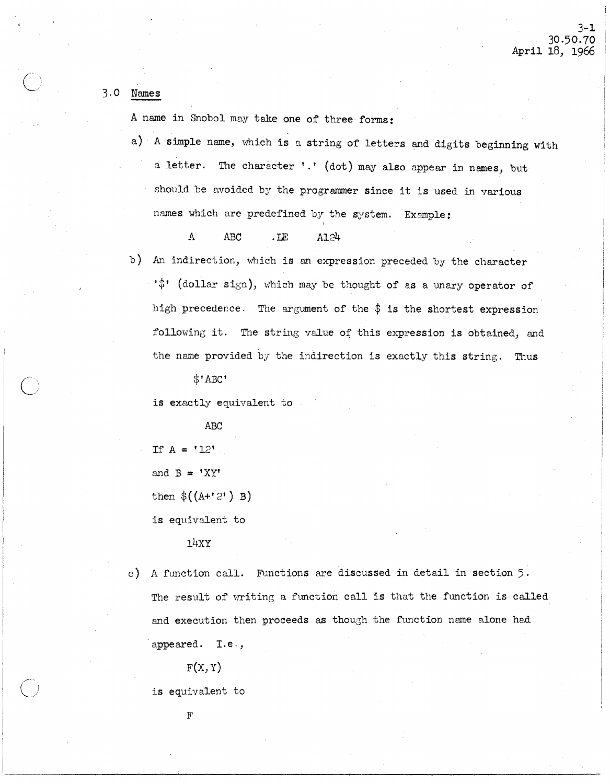## 3·0 Names

A name in Snobol may take one of three forms:

a) A simple name, which is a string of letters and digits beginning with a letter. The character '.' (dot) may also appear in names, but should be avoided by the programmer since it is used in various names which are predefined by the system. Example:

A ABC .LE A124

b) An indirection, which is an expression preceded by the character  $\psi^*$  (dollar sign), which may be thought of as a unary operator of high precedence. The argument of the  $\frac{1}{2}$  is the shortest expression following it. The string value of this expression is obtained, and the name provided by the indirection is exactly this string. Thus

 $$^{\dagger}$ ABC $^{\dagger}$ 

is exactly equivalent to

ABC

If  $A = '12'$ 

and  $B = 'XY'$ 

then  $\$(A+'2')$  B)

is equivalent to

 $14XY$ 

c) A function call. Functions are discussed in detail in section  $5$ . The result of writing a function call is that the function is called and execution then proceeds as though the function name alone had appeared. I.e.,

 $F(X, Y)$ 

is equivalent to

F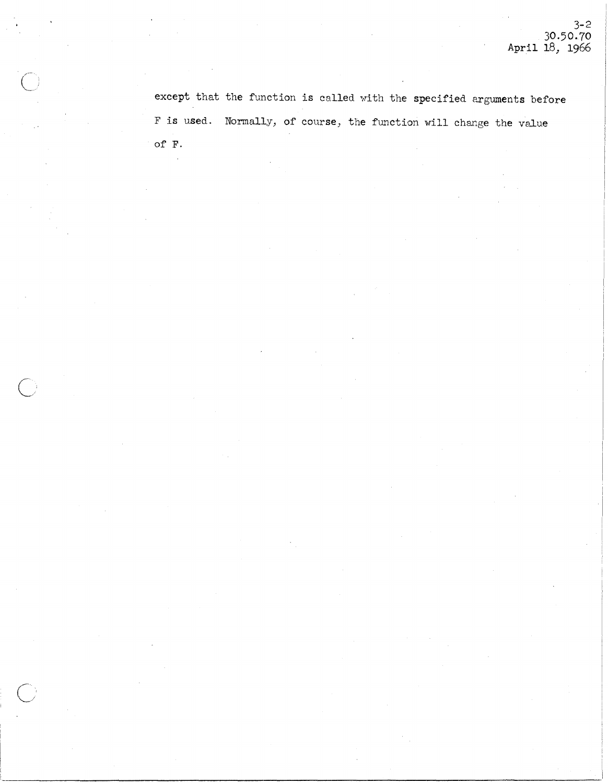except that the function is called with the specified arguments before F is used. Normally, of course, the function will change the value of F.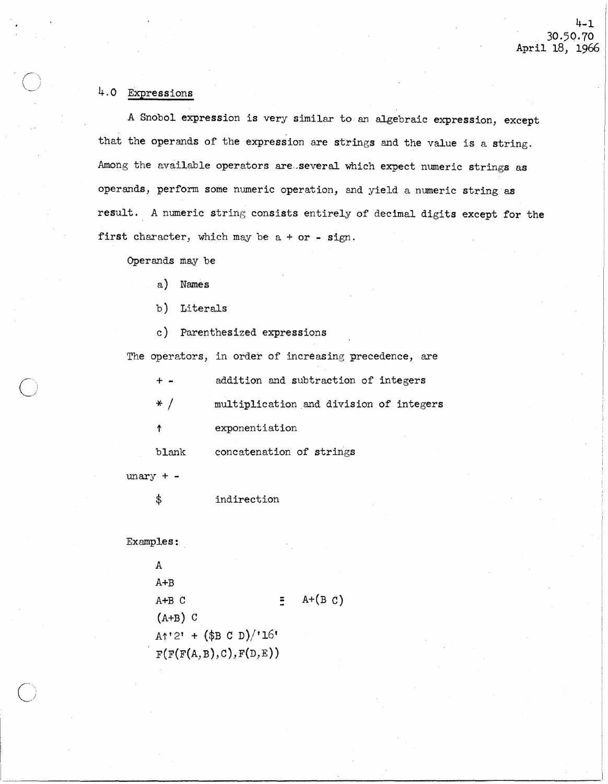# 4.0 Expressions

 $\big)$ 

A Snobol expression is very similar to an algebraic expression, except that the operands of the expression are strings and the value is a string. Among the available operators are several which expect numeric strings as operands, perform some numeric operation, and yield a numeric string as result. A numeric string consists entirely of decimal digits except for the first character, which may be  $a + or - sign$ .

Operands may be

- a) Names
- b) Literals
- c) Parenthesized expressions

The operators, in order of increasing precedence, are

| $+ -$ | addition and subtraction of integers    |
|-------|-----------------------------------------|
| $*$ / | multiplication and division of integers |
| 个     | exponentiation                          |
| blank | concatenation of strings                |

 $unary + -$ 

\$ indirection

Examples:

A A+B A+B C  $(A+B)$  C  $\equiv$  A+(B C)  $A^{\uparrow}$ '2' +  $(\$B C D)$ /'16'  $F(F(F(A, B), C), F(D, E))$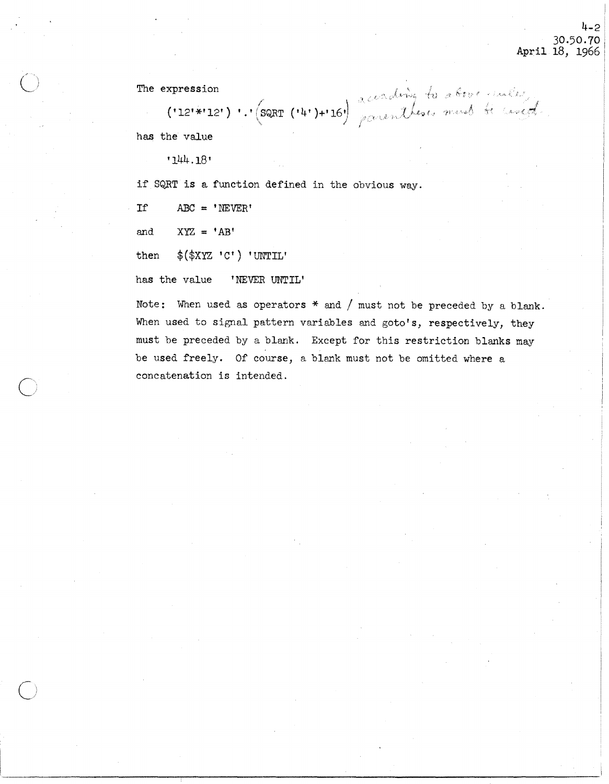The expression

expression<br>('12'\*'12') ' .' (SQRT ('4')+'16') accenting to above must be considered

has the value

'144.18'

if SQRT is a function defined in the obvious way.

If  $ABC = 'NEVER'$ 

and  $XYZ = 'AB'$ 

 $\bigcirc$ :

 $\overline{C}$ 

then  $$$ ( $$$ XYZ 'C') 'UNTIL'

has the value 'NEVER UNTIL'

Note: When used as operators  $*$  and / must not be preceded by a blank. When used to signal pattern variables and goto's, respectively, they must be preceded by a blank. Except for this restriction blanks may be used freely. Of course, a blank must not be omitted where a concatenation is intended.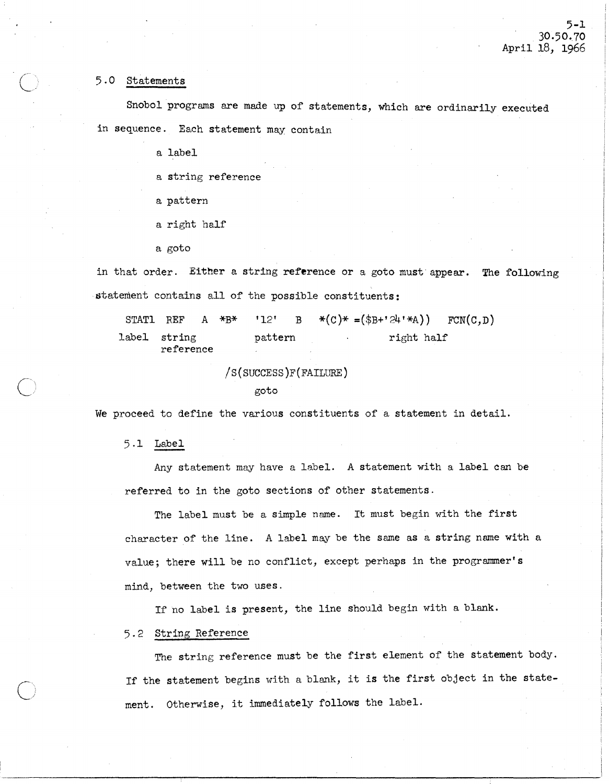#### 5 .0 Statements

Snobol programs are made up of statements, which are ordinarily executed in sequence. Each statement may contain

a label

a string reference

- a pattern
- a right half
- a goto

in that order. Either a string reference or a goto must appear. The following statement contains all of the possible constituents:

STATL REF A \*B\* label string reference '12' B  $*(C)*=(B+B+24)*A)$ pattern right half  $FCN(C,D)$ 

```
/S(SUCCESS)F(FAILURE)
```
goto

We proceed to define the various constituents of a statement in detail.

5.1 Label

 $\overline{C}$ 

 $\bigcirc$ 

Any statement may have a label. A statement with a label can be referred to in the goto sections of other statements.

The label must be a simple name. It must begin with the first character of the line. A label may be the same as a string name with a value; there will be no conflict, except perhaps in the programmer's mind, between the two uses.

If no label is present, the line should begin with a blank.

5.2 String Reference

The string reference must be the first element of the statement body. If the statement begins with a blank, it is the first object in the statement. Otherwise, it immediately follows the label.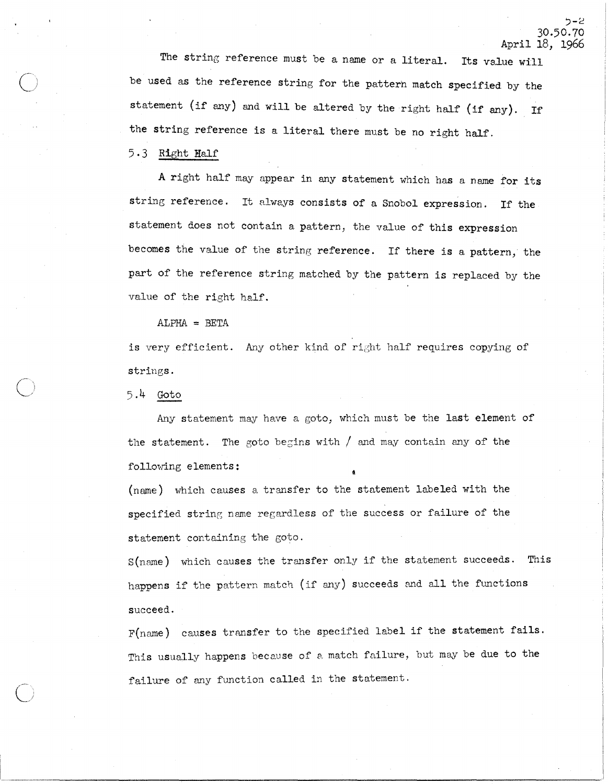~-2 30.50.70 April 18, 1966

The string reference must be a name or a literal. Its value will be used as the reference string for the pattern match specified by the statement (if any) and will be altered by the right half (if any). If the string reference is a literal there must be no right half.

 $5.3$  Right Half

A right half may appear in any statement which has a name for its string reference. It always consists of a Snobol expression. If the statement does not contain a pattern, the value of this expression becomes the value of the string reference. If there is a pattern, the part of the reference string matched by the pattern is replaced by the value of the right half.

 $ALPHA = BETA$ 

is very efficient. Any other kind of right half requires copying of strings.

 $5.4$  Goto

Any statement may have a goto, which must be the last element of the statement. The goto begins with  $/$  and may contain any of the following elements:

(name) which causes a transfer to the statement labeled with the specified string name regardless of the success or failure of the statement containing the goto.

S(name) which causes the transfer only if the statement succeeds. This happens if the pattern match (if any) succeeds and all the functions succeed.

F(name) causes transfer to the specified label if the statement fails. This usually happens because of a match failure, but may be due to the failure of any function called in the statement.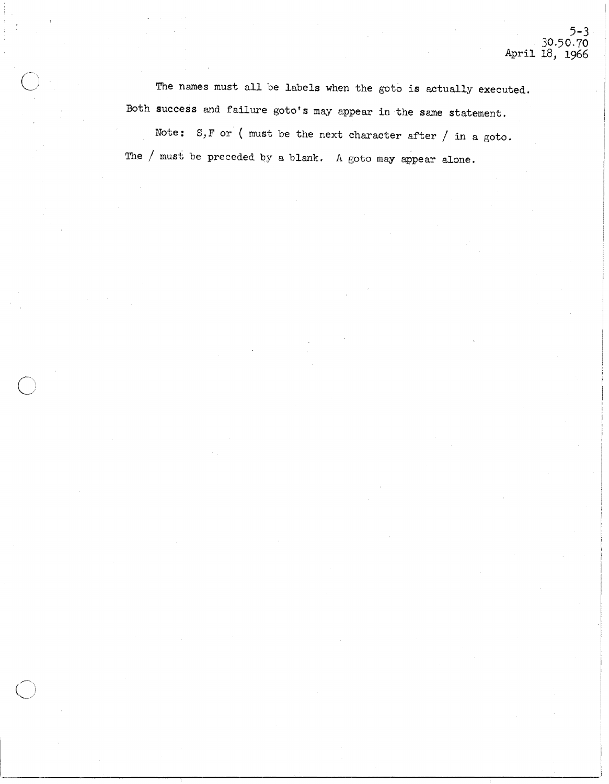The names must all be labels when the goto is actually executed. Both success and failure goto's may appear in the same statement.

 $\bigcirc$ 

 $\bigcirc$ 

Note:  $S, F$  or ( must be the next character after / in a goto. The / must be preceded by a blank. A goto may appear alone.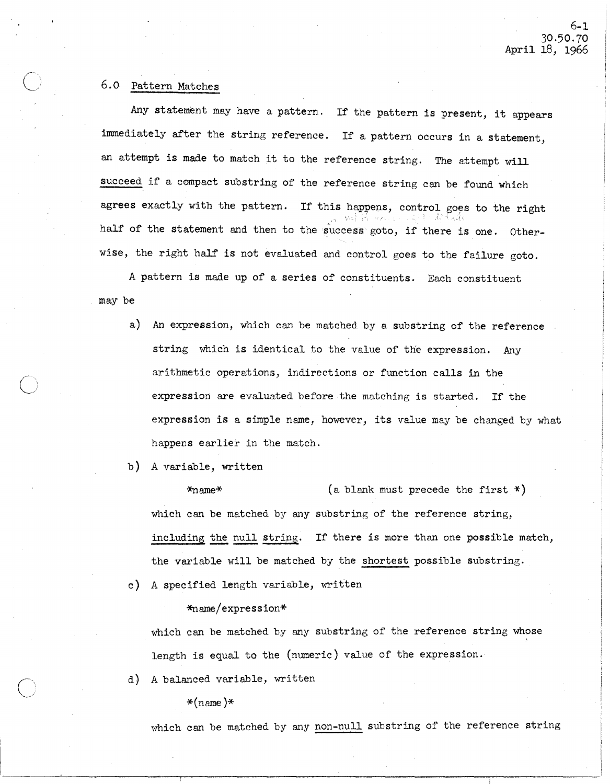### 6.0 Pattern Matches

Any statement may have a pattern. If the pattern is present, it appears immediately after the string reference. If a pattern occurs in a statement, an attempt is made to match it to the reference string. The attempt will succeed if a compact substring of the reference string can be found which agrees exactly with the pattern. If this happens, control goes to the right ,de l'adis half of the statement and then to the success goto, if there is one. Otherwise, the right half is not evaluated and control goes to the failure goto.

A pattern is made up of a series of constituents. Each constituent may be

a) An expression, which can be matched by a substring of the reference string which is identical to the value of the expression. Any arithmetic operations, indirections or function calls in the expression are evaluated before the matching is started. If the expression is a simple name, however, its value may be changed by what happens earlier in the match.

b) A variable, written

\*name\* (a blank must precede the first \*) which can be matched by any substring of the reference string, including the null string. If there is more than one possible match, the variable will be matched by the shortest possible substring.

c) A specified length variable, written

\*name/expresslon\*

which can be matched by any substring of the reference string whose length is equal to the (numeric) value of the expression.

d) A balanced variable, written

 $*(name)$ 

which can be matched by any non-null substring of the reference string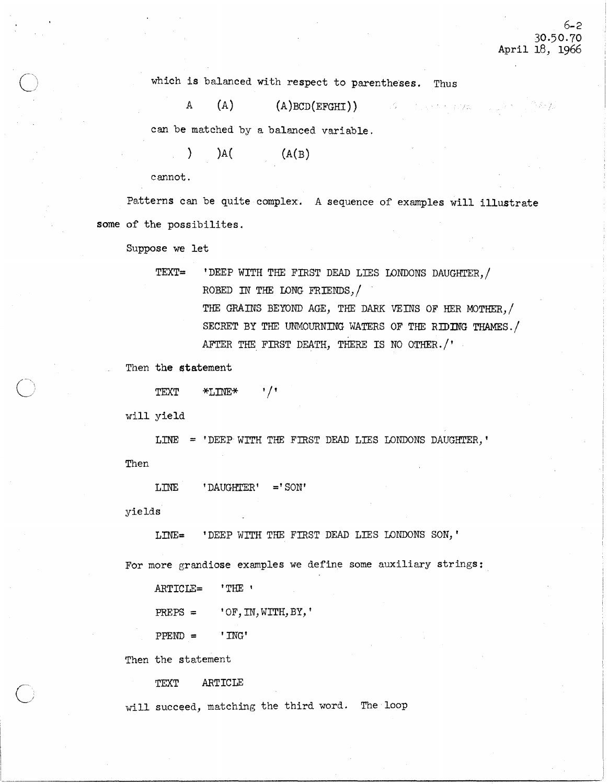the entire and go

I !

which is balanced with respect to parentheses. Thus

A  $(A)$   $(A)$  BCD(EFGHI))

can be matched by a balanced variable.

 $)$  )A( (A(B)

cannot.

Patterns can be quite complex. A sequence of examples will illustrate some of the possibilites.

Suppose we let

TEXT= 'DEEP WITH THE FIRST DEAD LIES LONDONS DAUGHTER, / ROBED IN THE LONG FRIENDS, / THE GRAINS BEYOND AGE, THE DARK VEINS OF HER MOTHER, / SECRET BY THE UNMOURNING WATERS OF THE RIDING THAMES./ AFTER THE FIRST DEATH, THERE IS NO OTHER./'

Then the statement

 $\tt TEXT$  \*LINE\* '/'

will yield

LINE = 'DEEP WITH THE FIRST DEAD LIES LONDONS DAUGHTER,'

Then

LINE ' DAUGHTER' =' SON'

yields

LINE= 'DEEP WITH THE FIRST DEAD LIES LONDONS SON, '

For more grandiose examples we define some auxiliary strings:

 $1 \leq i \leq n-1$  , we can assume that the contribution of  $\mathcal{L}_i$  . The contribution of  $\mathcal{L}_i$ 

ARTICLE= 'THE '

 $PREPS = 'OF, IN, WITH, BY, '$ 

 $PPEND = 'ING'$ 

Then the statement

TEXT ARTICLE

will succeed, matching the third word. The loop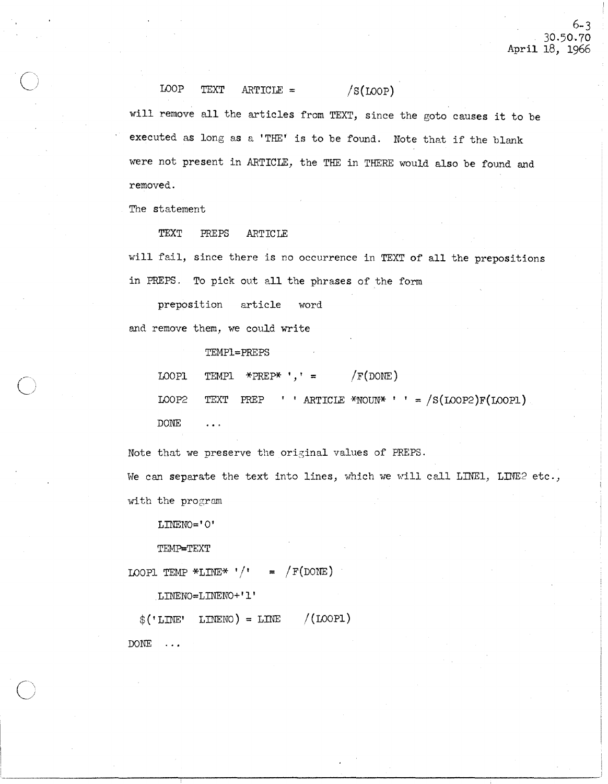LOOP TEXT ARTICLE =  $/S(LOOP)$ 

will remove all the articles from TEXT, since the goto causes it to be executed as long as a 'THE' is to be found. Note that if the blank were not present in ARTICLE, the THE in THERE would also be found and removed.

The statement

TEXT PREPS ARTICLE

will fail, since there is no occurrence in TEXT of all the prepositions in PREPS. To pick out all the phrases of the form

preposition article word

and remove them, we could write

TEMPI=PREPS

LOOPI TEMPI \*PREP\* ', ' =  $/F(DONE)$ 

LOOP2 TEXT PREP ' ' ARTICLE \*NOUN\* ' ' =  $/S($ LOOP2 $)F($ LOOP1)

DONE  $\ddotsc$ 

 $\overline{O}$ 

Note that we preserve the original values of PREPS.

We can separate the text into lines, which we will call LINE1, LINE2 etc., with the program

LINENO='O'

TEMP=TEXT

LOOPL TEMP \*LINE\*  $'/$ ' = /F(DONE)

LINENO=LINENO+'I'

 $$('LINE' LINE'') = LINE' / (LOOPI)$ DONE ...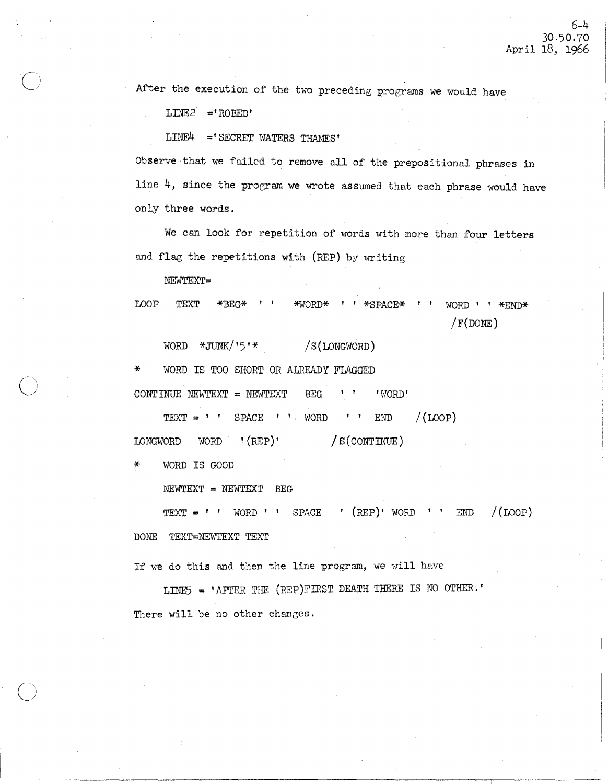After the execution of the two preceding programs we would have

L:mE2 **='** ROBED'

 $LINE4$  = 'SECRET WATERS THAMES'

Observe-that we failed to remove all of the prepositional phrases in line 4, since the program we wrote assumed that each phrase would have only three words.

We can look for repetition of words with more than four letters and flag the repetitions with (REP) by writing

NEWTEXT=

LOOP TEXT  $*BEG*$  ''  $*WORD*$  ''  $*SPACE*$  '' WORD''  $*EWD*$  $/F(DONE)$ 

WORD \*JUNK/'5'\* /S(LONGWORD)

WORD IS TOO SHORT OR ALREADY FLAGGED

CONTINUE NEWTEXT = NEWTEXT BEG  $\blacksquare$  'WORD'

 $TEXT = " " SPACE " " WORD " " END" / (LOOP)$ 

LONGWORD WORD  $(REF)$  /  $S(CONTINUE)$ 

\* WORD IS GOOD

NEWTEXT = NEWTEXT BEG

 $TEXT = ' ' WORD ' ' SPACE ' (REF)' WORD ' ' END / (LOOP)$ 

DONE TEXT=NEWTEXT TEXT

If we do this and then the line program, we will have

LINE5 = 'AFTER THE (REP)FIRST DEATH THERE IS NO OTHER.' There will be no other changes.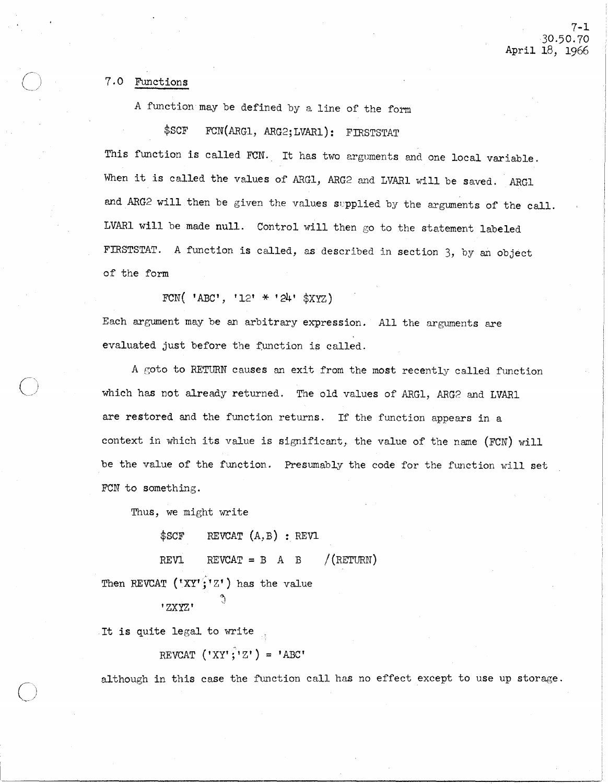### 7.0 Functions

A function may be defined by a line of the form

\$SCF FCN(ARG1, ARG2; LVAR1): FIRSTSTAT

This function is called FCN. It has two arguments and one local variable. When it is called the values of ARG1, ARG2 and LVAR1 will be saved. ARG1 and ARG2 will then be given the values supplied by the arguments of the call. LVARl will be made null. Control will then go to the statement labeled FIRSTSTAT. A function is called, as described in section 3, by an object of the form

FCN( 'ABC', '12' \* '24' \$XYZ)

Each argument may be an arbitrary expression. All the arguments are evaluated just before the runction is called.

A goto to RETURN causes an exit from the most recently called function which has not already returned. The old values of ARG1, ARG2 and LVAR1 are restored and the function returns. If the function appears in a context in which its value is significant, the value of the name (FCN) will be the value of the function. Presumably the code for the function will set FCN to something.

Thus, we might write

 $$SCF$  REVCAT  $(A, B)$ : REV1

REVL REVCAT = B A B  $/(RETL)$ Then REVCAT ('XY';' $Z'$ ) has the value

'ZXyzt <sup>~</sup>

It is quite legal to write

REVCAT  $(YXY'; YZ') = 'ABC'$ 

although in this case the function call has no effect except to use up storage.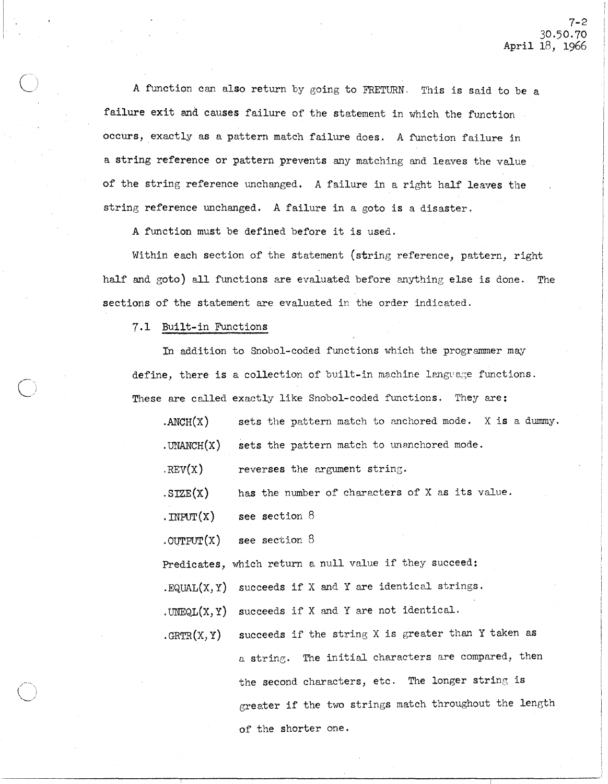A function can also return by going to FRETURN. This is said to be a failure exit and causes failure of the statement in which the function occurs, exactly as a pattern match failure does. A function failure in a string reference or pattern prevents any matching and leaves the value of the string reference unchanged. A failure in a right half leaves the string reference unchanged. A failure in a goto is a disaster.

A function must be defined before it is used.

Within each section of the statement (string reference, pattern, right half and goto) all functions are evaluated before anything else is done. The sections of the statement are evaluated in the order indicated.

7.1 Built-in Functions

 $\bigcirc$ 

In addition to Snobol-coded functions which the programmer may define, there is a collection of built-in machine language functions. These are called exactly like Snobol-coded functions. They are:

| $\Lambda NCH(X)$  | sets the pattern match to anchored mode. X is a dummy. |
|-------------------|--------------------------------------------------------|
| $.$ UNANCH $(x)$  | sets the pattern match to unanchored mode.             |
| REV(X)            | reverses the argument string.                          |
| SIZE(X)           | has the number of characters of X as its value.        |
| $.\text{IPUT}(X)$ | see section $8$                                        |
| $.$ OUTPUT $(X)$  | see section $8$                                        |
|                   | Predicates, which return a null value if they succeed: |

. EQUAL $(X, Y)$  succeeds if X and Y are identical strings.

. UNEQL $(X, Y)$  succeeds if X and Y are not identical.

 $GRTR(X, Y)$  succeeds if the string X is greater than Y taken as a string. The initial characters are compared, then the second characters, etc. The longer string is greater if the two strings match throughout the length of the shorter one.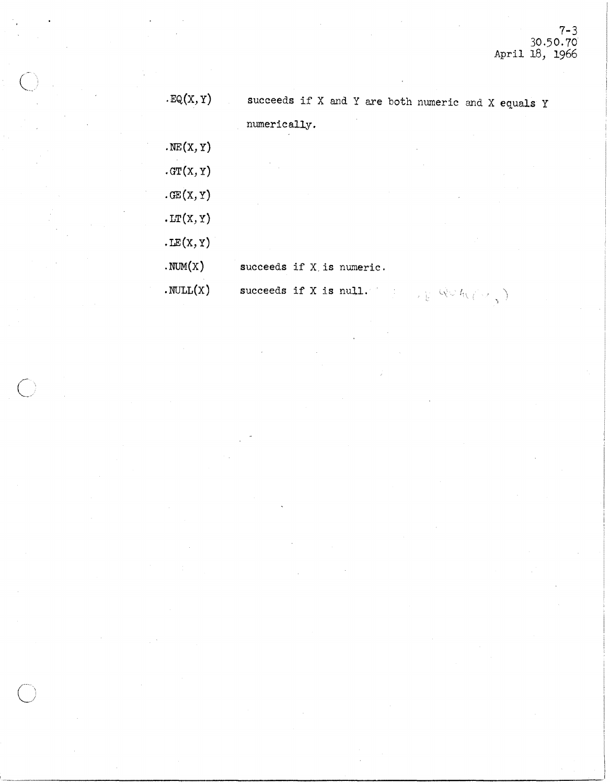| EQ(X, Y)            | succeeds if X and Y are both numeric and X equals Y |  |
|---------------------|-----------------------------------------------------|--|
|                     | numerically.                                        |  |
| $\cdot$ NE $(X, Y)$ |                                                     |  |
| GT(X, Y)            |                                                     |  |
| $\cdot$ GE $(X, Y)$ |                                                     |  |
| LT(X, Y)            |                                                     |  |
| LE(X, Y)            |                                                     |  |
| MOM(X)              | succeeds if X is numeric.                           |  |
| $.$ NULL $(X)$      | succeeds if X is null.<br><sub>大臣</sub> べいれていこ)     |  |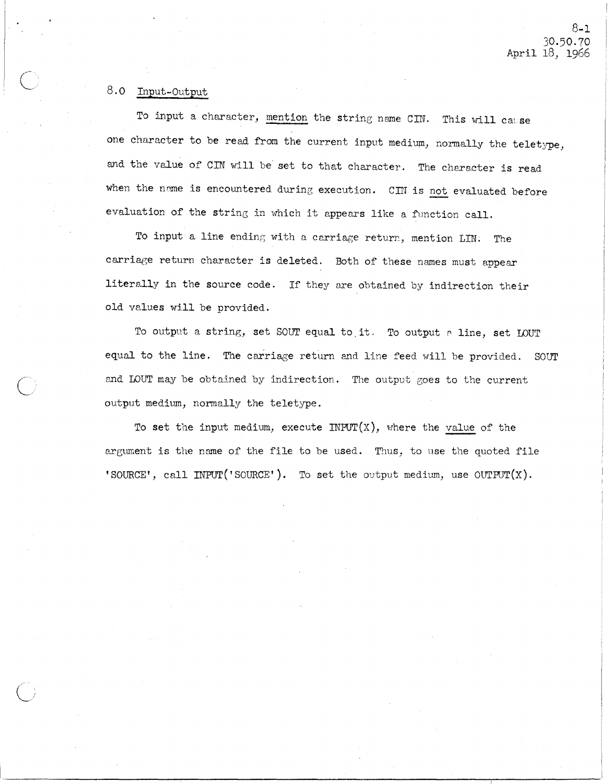### 8.0 Input-Output

To input a character, mention the string name CIN. This will cause one character to be read from the current input medium, normally the teletype, and the value of CIN will be set to that character. The character is read when the name is encountered during execution. CIN is not evaluated before evaluation of the string in which it appears like a function call.

To input a line ending with a carriage return, mention LIN. The carriage return character is deleted. Both of these names must appear literally in the source code. If they are obtained by indirection their old values will be provided.

To output a string, set SOUT equal to it. To output a line, set LOUT equal to the line. The carriage return and line feed will be provided. SOUT end LOUT may be obtained by indirection. The output goes to the current output medium, normally the teletype.

To set the input medium, execute INPUT( $X$ ), where the value of the argument is the name of the file to be used. Thus, to use the quoted file 'SOURCE', call INPUT('SOURCE'). To set the output medium, use OUTPUT(X).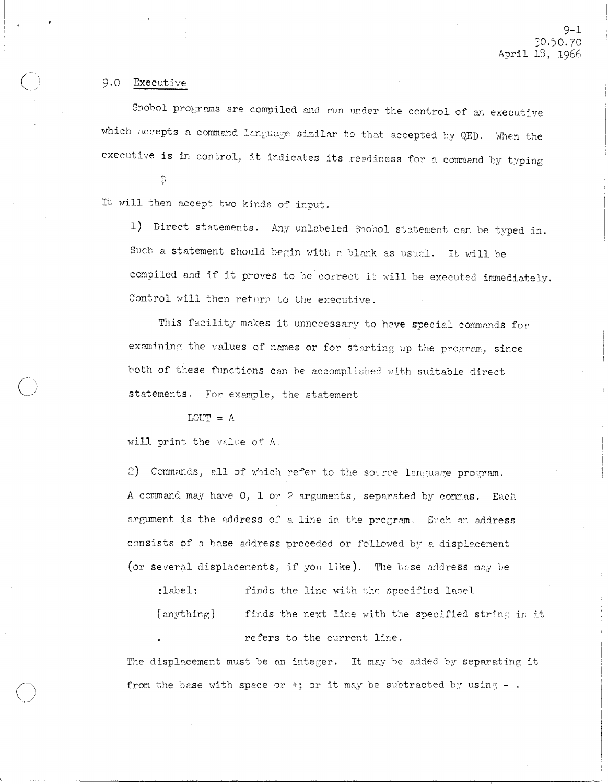#### 9.0 Executive

Snohol programs are compiled and run under the control of an executive which accepts a command language similar to that accepted by QED. When the executive is in control, it indicates its readiness for a command by typing

 $\ddot{\phi}$ 

It will then accept two kinds of input.

1) Direct statements. Any unlabeled Snobol statement can be typed in. Such a statement should begin with a blank as usual. It will be compiled and if it proves to be correct it will be executed immediately. Control will then return to the executive.

This facility makes it unnecessary to have special commands for examining the values of names or for starting up the program, since hoth of these functions can be accomplished with suitable direct statements. For example, the statement

#### $LOUT = A$

will print the value of A.

2) Commands, all of which refer to the source language program. A command may have  $0$ , 1 or  $\geq$  arguments, separated by commas. Each argument is the address of a line in the program. Such an address consists of a base address preceded or followed by a displacement (or several displacements, if you like). The base address may be

:label: finds the line with the specified label

 $[$  anything  $]$  finds the next line with the specified string in it refers to the current line.

The displacement must be an integer. It may be added by separating it from the base with space or  $+$ ; or it may be subtracted by using  $-$  .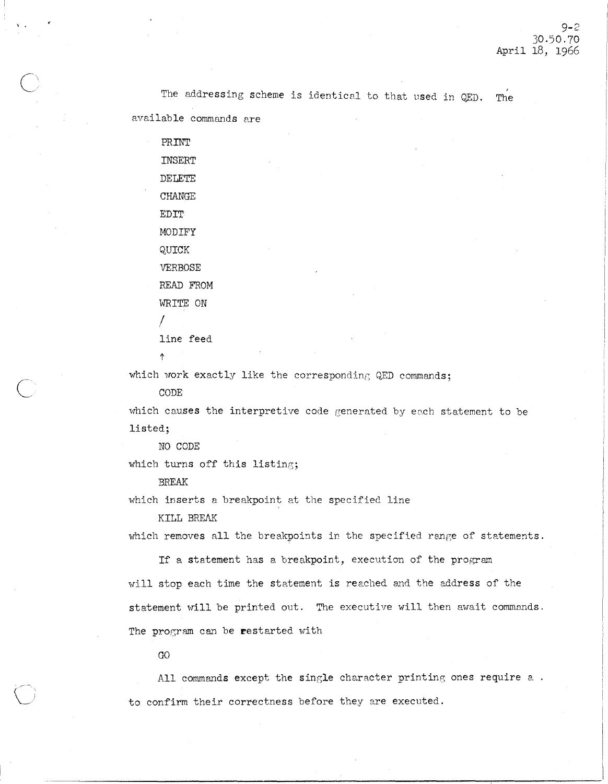The addressing scheme is identical to that used in QED. The

available commands are

, .

 $\overline{\bigcirc}$ 

 $\bigcirc$ 

PRINT INSERT DELETE CHANGE EDIT MODIFY QUICK VERBOSE READ FROM WRITE ON I line feed

 $\ddot{\uparrow}$ 

which work exactly like the corresponding QED commands;

CODE

which causes the interpretive code generated by each statement to be listed;

NO CODE

which turns off this listing;

BREAK

which inserts a breakpoint at the specified line

KILL *BREAK* 

which removes all the breakpoints in the specified range of statements.

If a statement has a breakpoint, execution of the program will stop each time the statement is reached and the address of the statement will be printed out. The executive will then await commands. The program can be restarted with

GO

All commands except the single character printing ones require a. to confirm their correctness before they are executed.